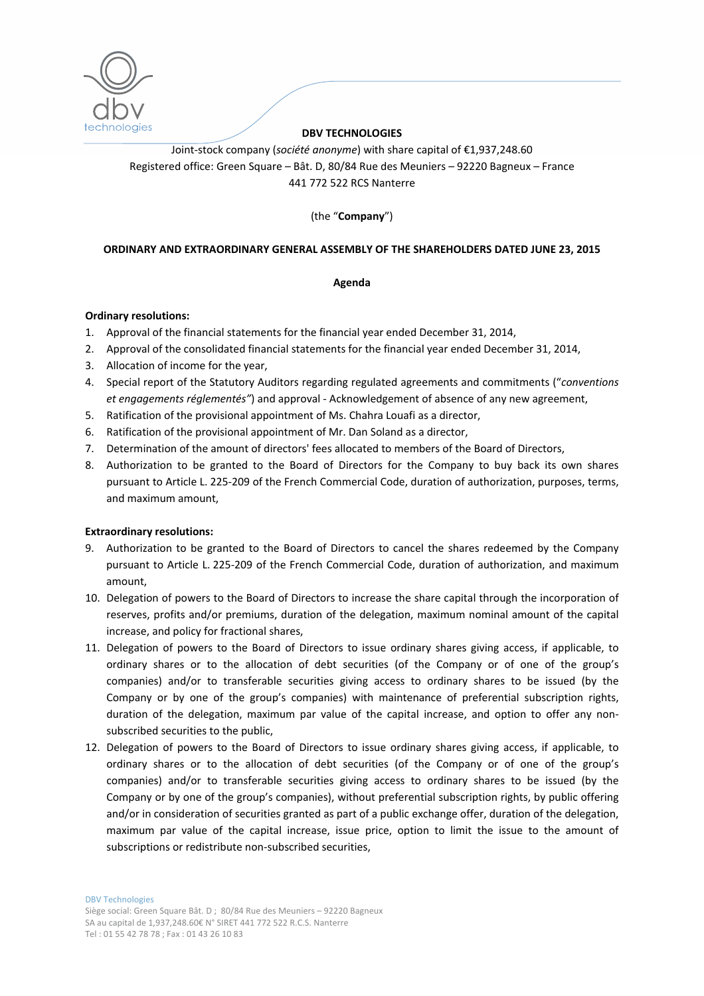

### **DBV TECHNOLOGIES**

Joint‐stock company (*société anonyme*) with share capital of €1,937,248.60 Registered office: Green Square – Bât. D, 80/84 Rue des Meuniers – 92220 Bagneux – France 441 772 522 RCS Nanterre

(the "**Company**")

### **ORDINARY AND EXTRAORDINARY GENERAL ASSEMBLY OF THE SHAREHOLDERS DATED JUNE 23, 2015**

### **Agenda**

#### **Ordinary resolutions:**

- 1. Approval of the financial statements for the financial year ended December 31, 2014,
- 2. Approval of the consolidated financial statements for the financial year ended December 31, 2014,
- 3. Allocation of income for the year,
- 4. Special report of the Statutory Auditors regarding regulated agreements and commitments ("*conventions et engagements réglementés"*) and approval ‐ Acknowledgement of absence of any new agreement,
- 5. Ratification of the provisional appointment of Ms. Chahra Louafi as a director,
- 6. Ratification of the provisional appointment of Mr. Dan Soland as a director,
- 7. Determination of the amount of directors' fees allocated to members of the Board of Directors,
- 8. Authorization to be granted to the Board of Directors for the Company to buy back its own shares pursuant to Article L. 225-209 of the French Commercial Code, duration of authorization, purposes, terms, and maximum amount,

### **Extraordinary resolutions:**

- 9. Authorization to be granted to the Board of Directors to cancel the shares redeemed by the Company pursuant to Article L. 225‐209 of the French Commercial Code, duration of authorization, and maximum amount,
- 10. Delegation of powers to the Board of Directors to increase the share capital through the incorporation of reserves, profits and/or premiums, duration of the delegation, maximum nominal amount of the capital increase, and policy for fractional shares,
- 11. Delegation of powers to the Board of Directors to issue ordinary shares giving access, if applicable, to ordinary shares or to the allocation of debt securities (of the Company or of one of the group's companies) and/or to transferable securities giving access to ordinary shares to be issued (by the Company or by one of the group's companies) with maintenance of preferential subscription rights, duration of the delegation, maximum par value of the capital increase, and option to offer any nonsubscribed securities to the public,
- 12. Delegation of powers to the Board of Directors to issue ordinary shares giving access, if applicable, to ordinary shares or to the allocation of debt securities (of the Company or of one of the group's companies) and/or to transferable securities giving access to ordinary shares to be issued (by the Company or by one of the group's companies), without preferential subscription rights, by public offering and/or in consideration of securities granted as part of a public exchange offer, duration of the delegation, maximum par value of the capital increase, issue price, option to limit the issue to the amount of subscriptions or redistribute non‐subscribed securities,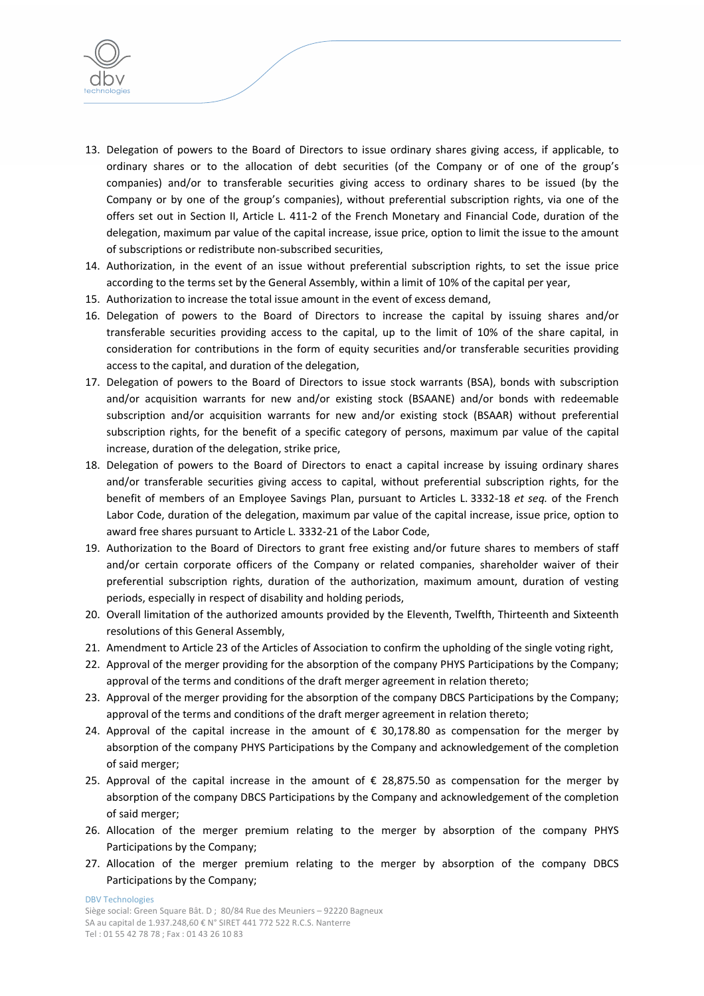

- 13. Delegation of powers to the Board of Directors to issue ordinary shares giving access, if applicable, to ordinary shares or to the allocation of debt securities (of the Company or of one of the group's companies) and/or to transferable securities giving access to ordinary shares to be issued (by the Company or by one of the group's companies), without preferential subscription rights, via one of the offers set out in Section II, Article L. 411‐2 of the French Monetary and Financial Code, duration of the delegation, maximum par value of the capital increase, issue price, option to limit the issue to the amount of subscriptions or redistribute non‐subscribed securities,
- 14. Authorization, in the event of an issue without preferential subscription rights, to set the issue price according to the terms set by the General Assembly, within a limit of 10% of the capital per year,
- 15. Authorization to increase the total issue amount in the event of excess demand,
- 16. Delegation of powers to the Board of Directors to increase the capital by issuing shares and/or transferable securities providing access to the capital, up to the limit of 10% of the share capital, in consideration for contributions in the form of equity securities and/or transferable securities providing access to the capital, and duration of the delegation,
- 17. Delegation of powers to the Board of Directors to issue stock warrants (BSA), bonds with subscription and/or acquisition warrants for new and/or existing stock (BSAANE) and/or bonds with redeemable subscription and/or acquisition warrants for new and/or existing stock (BSAAR) without preferential subscription rights, for the benefit of a specific category of persons, maximum par value of the capital increase, duration of the delegation, strike price,
- 18. Delegation of powers to the Board of Directors to enact a capital increase by issuing ordinary shares and/or transferable securities giving access to capital, without preferential subscription rights, for the benefit of members of an Employee Savings Plan, pursuant to Articles L. 3332‐18 *et seq.* of the French Labor Code, duration of the delegation, maximum par value of the capital increase, issue price, option to award free shares pursuant to Article L. 3332‐21 of the Labor Code,
- 19. Authorization to the Board of Directors to grant free existing and/or future shares to members of staff and/or certain corporate officers of the Company or related companies, shareholder waiver of their preferential subscription rights, duration of the authorization, maximum amount, duration of vesting periods, especially in respect of disability and holding periods,
- 20. Overall limitation of the authorized amounts provided by the Eleventh, Twelfth, Thirteenth and Sixteenth resolutions of this General Assembly,
- 21. Amendment to Article 23 of the Articles of Association to confirm the upholding of the single voting right,
- 22. Approval of the merger providing for the absorption of the company PHYS Participations by the Company; approval of the terms and conditions of the draft merger agreement in relation thereto;
- 23. Approval of the merger providing for the absorption of the company DBCS Participations by the Company; approval of the terms and conditions of the draft merger agreement in relation thereto;
- 24. Approval of the capital increase in the amount of  $\epsilon$  30,178.80 as compensation for the merger by absorption of the company PHYS Participations by the Company and acknowledgement of the completion of said merger;
- 25. Approval of the capital increase in the amount of € 28,875.50 as compensation for the merger by absorption of the company DBCS Participations by the Company and acknowledgement of the completion of said merger;
- 26. Allocation of the merger premium relating to the merger by absorption of the company PHYS Participations by the Company;
- 27. Allocation of the merger premium relating to the merger by absorption of the company DBCS Participations by the Company;

DBV Technologies

Siège social: Green Square Bât. D ; 80/84 Rue des Meuniers – 92220 Bagneux SA au capital de 1.937.248,60 € N° SIRET 441 772 522 R.C.S. Nanterre Tel : 01 55 42 78 78 ; Fax : 01 43 26 10 83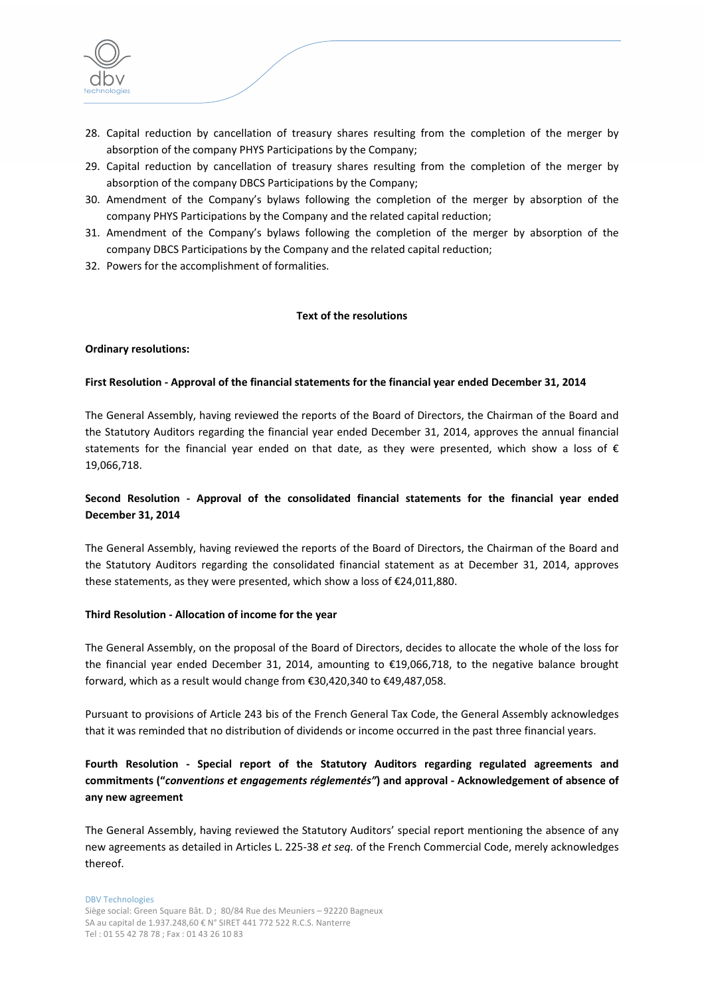

- 28. Capital reduction by cancellation of treasury shares resulting from the completion of the merger by absorption of the company PHYS Participations by the Company;
- 29. Capital reduction by cancellation of treasury shares resulting from the completion of the merger by absorption of the company DBCS Participations by the Company;
- 30. Amendment of the Company's bylaws following the completion of the merger by absorption of the company PHYS Participations by the Company and the related capital reduction;
- 31. Amendment of the Company's bylaws following the completion of the merger by absorption of the company DBCS Participations by the Company and the related capital reduction;
- 32. Powers for the accomplishment of formalities.

### **Text of the resolutions**

### **Ordinary resolutions:**

### **First Resolution ‐ Approval of the financial statements for the financial year ended December 31, 2014**

The General Assembly, having reviewed the reports of the Board of Directors, the Chairman of the Board and the Statutory Auditors regarding the financial year ended December 31, 2014, approves the annual financial statements for the financial year ended on that date, as they were presented, which show a loss of  $\epsilon$ 19,066,718.

## **Second Resolution ‐ Approval of the consolidated financial statements for the financial year ended December 31, 2014**

The General Assembly, having reviewed the reports of the Board of Directors, the Chairman of the Board and the Statutory Auditors regarding the consolidated financial statement as at December 31, 2014, approves these statements, as they were presented, which show a loss of €24,011,880.

### **Third Resolution ‐ Allocation of income for the year**

The General Assembly, on the proposal of the Board of Directors, decides to allocate the whole of the loss for the financial year ended December 31, 2014, amounting to €19,066,718, to the negative balance brought forward, which as a result would change from €30,420,340 to €49,487,058.

Pursuant to provisions of Article 243 bis of the French General Tax Code, the General Assembly acknowledges that it was reminded that no distribution of dividends or income occurred in the past three financial years.

# **Fourth Resolution ‐ Special report of the Statutory Auditors regarding regulated agreements and commitments ("***conventions et engagements réglementés"***) and approval ‐ Acknowledgement of absence of any new agreement**

The General Assembly, having reviewed the Statutory Auditors' special report mentioning the absence of any new agreements as detailed in Articles L. 225‐38 *et seq.* of the French Commercial Code, merely acknowledges thereof.

#### DBV Technologies

Siège social: Green Square Bât. D ; 80/84 Rue des Meuniers – 92220 Bagneux SA au capital de 1.937.248,60 € N° SIRET 441 772 522 R.C.S. Nanterre Tel : 01 55 42 78 78 ; Fax : 01 43 26 10 83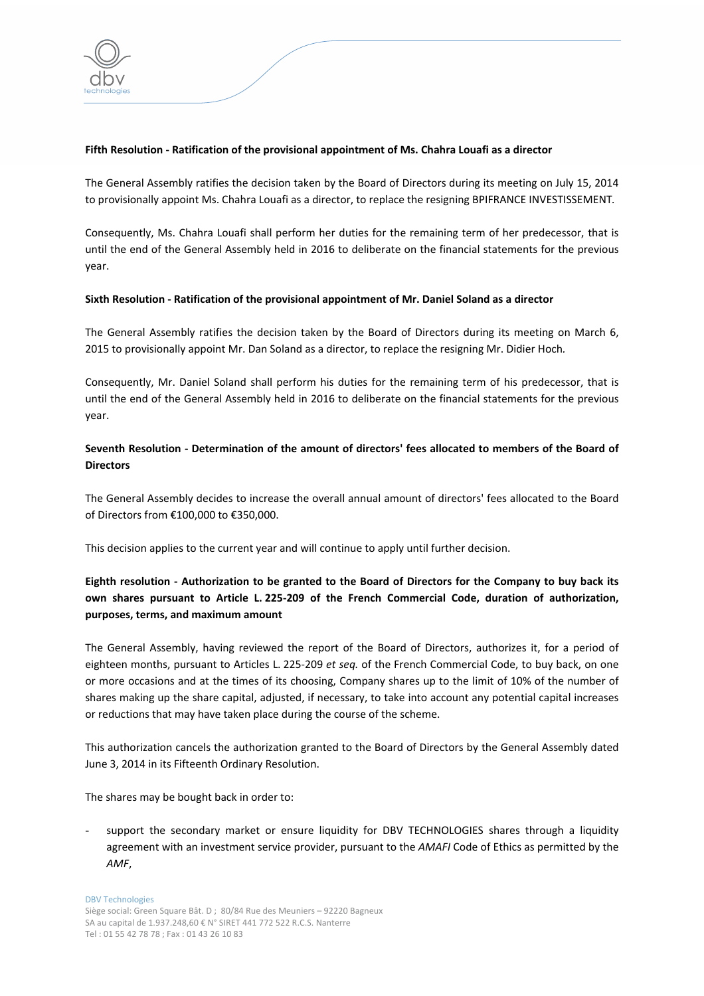

### **Fifth Resolution ‐ Ratification of the provisional appointment of Ms. Chahra Louafi as a director**

The General Assembly ratifies the decision taken by the Board of Directors during its meeting on July 15, 2014 to provisionally appoint Ms. Chahra Louafi as a director, to replace the resigning BPIFRANCE INVESTISSEMENT*.*

Consequently, Ms. Chahra Louafi shall perform her duties for the remaining term of her predecessor, that is until the end of the General Assembly held in 2016 to deliberate on the financial statements for the previous year.

### **Sixth Resolution ‐ Ratification of the provisional appointment of Mr. Daniel Soland as a director**

The General Assembly ratifies the decision taken by the Board of Directors during its meeting on March 6, 2015 to provisionally appoint Mr. Dan Soland as a director, to replace the resigning Mr. Didier Hoch*.*

Consequently, Mr. Daniel Soland shall perform his duties for the remaining term of his predecessor, that is until the end of the General Assembly held in 2016 to deliberate on the financial statements for the previous year.

# **Seventh Resolution ‐ Determination of the amount of directors' fees allocated to members of the Board of Directors**

The General Assembly decides to increase the overall annual amount of directors' fees allocated to the Board of Directors from €100,000 to €350,000.

This decision applies to the current year and will continue to apply until further decision.

# Eighth resolution - Authorization to be granted to the Board of Directors for the Company to buy back its **own shares pursuant to Article L. 225‐209 of the French Commercial Code, duration of authorization, purposes, terms, and maximum amount**

The General Assembly, having reviewed the report of the Board of Directors, authorizes it, for a period of eighteen months, pursuant to Articles L. 225‐209 *et seq.* of the French Commercial Code, to buy back, on one or more occasions and at the times of its choosing, Company shares up to the limit of 10% of the number of shares making up the share capital, adjusted, if necessary, to take into account any potential capital increases or reductions that may have taken place during the course of the scheme.

This authorization cancels the authorization granted to the Board of Directors by the General Assembly dated June 3, 2014 in its Fifteenth Ordinary Resolution.

The shares may be bought back in order to:

support the secondary market or ensure liquidity for DBV TECHNOLOGIES shares through a liquidity agreement with an investment service provider, pursuant to the *AMAFI* Code of Ethics as permitted by the *AMF*,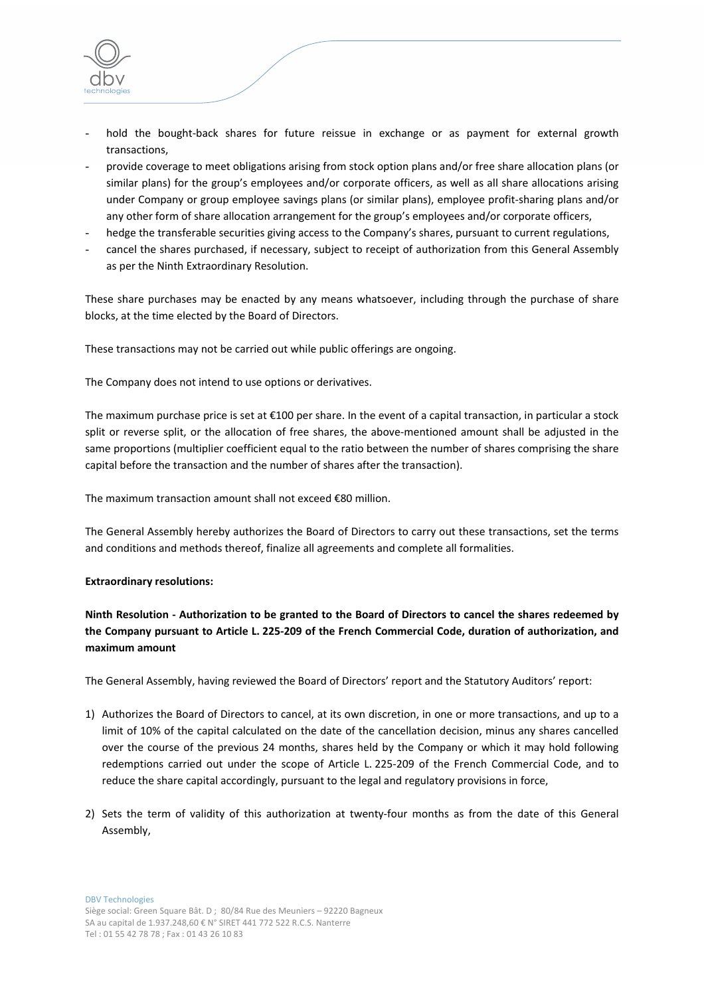

- hold the bought-back shares for future reissue in exchange or as payment for external growth transactions,
- provide coverage to meet obligations arising from stock option plans and/or free share allocation plans (or similar plans) for the group's employees and/or corporate officers, as well as all share allocations arising under Company or group employee savings plans (or similar plans), employee profit‐sharing plans and/or any other form of share allocation arrangement for the group's employees and/or corporate officers,
- hedge the transferable securities giving access to the Company's shares, pursuant to current regulations,
- cancel the shares purchased, if necessary, subject to receipt of authorization from this General Assembly as per the Ninth Extraordinary Resolution.

These share purchases may be enacted by any means whatsoever, including through the purchase of share blocks, at the time elected by the Board of Directors.

These transactions may not be carried out while public offerings are ongoing.

The Company does not intend to use options or derivatives.

The maximum purchase price is set at €100 per share. In the event of a capital transaction, in particular a stock split or reverse split, or the allocation of free shares, the above-mentioned amount shall be adjusted in the same proportions (multiplier coefficient equal to the ratio between the number of shares comprising the share capital before the transaction and the number of shares after the transaction).

The maximum transaction amount shall not exceed €80 million.

The General Assembly hereby authorizes the Board of Directors to carry out these transactions, set the terms and conditions and methods thereof, finalize all agreements and complete all formalities.

#### **Extraordinary resolutions:**

Ninth Resolution - Authorization to be granted to the Board of Directors to cancel the shares redeemed by the Company pursuant to Article L. 225-209 of the French Commercial Code, duration of authorization, and **maximum amount**

The General Assembly, having reviewed the Board of Directors' report and the Statutory Auditors' report:

- 1) Authorizes the Board of Directors to cancel, at its own discretion, in one or more transactions, and up to a limit of 10% of the capital calculated on the date of the cancellation decision, minus any shares cancelled over the course of the previous 24 months, shares held by the Company or which it may hold following redemptions carried out under the scope of Article L. 225‐209 of the French Commercial Code, and to reduce the share capital accordingly, pursuant to the legal and regulatory provisions in force,
- 2) Sets the term of validity of this authorization at twenty-four months as from the date of this General Assembly,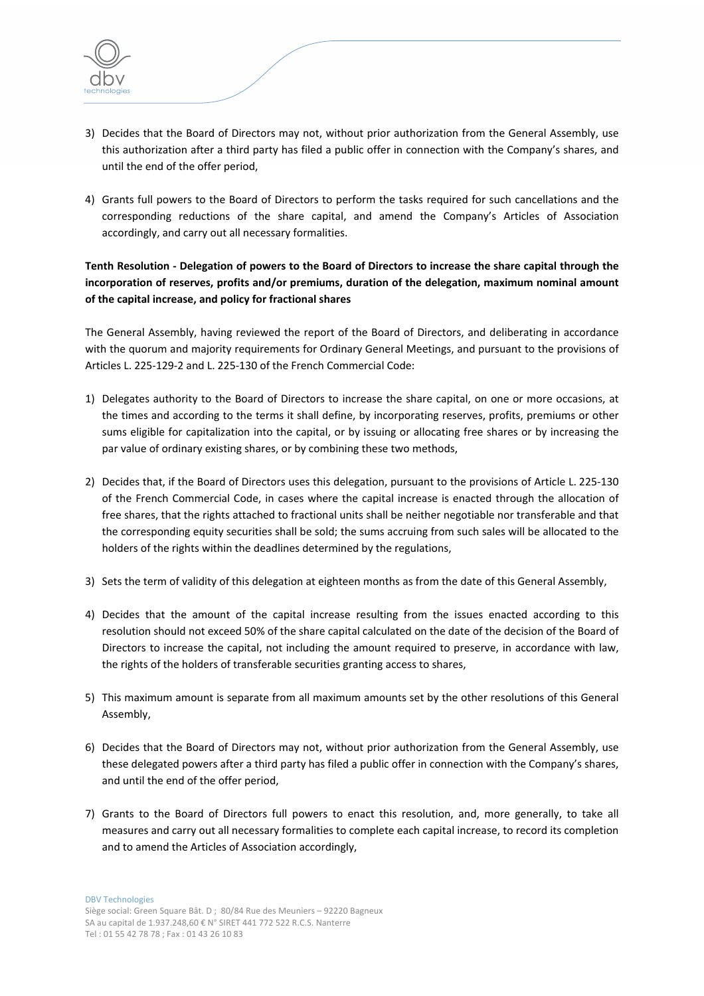

- 3) Decides that the Board of Directors may not, without prior authorization from the General Assembly, use this authorization after a third party has filed a public offer in connection with the Company's shares, and until the end of the offer period,
- 4) Grants full powers to the Board of Directors to perform the tasks required for such cancellations and the corresponding reductions of the share capital, and amend the Company's Articles of Association accordingly, and carry out all necessary formalities.

Tenth Resolution - Delegation of powers to the Board of Directors to increase the share capital through the **incorporation of reserves, profits and/or premiums, duration of the delegation, maximum nominal amount of the capital increase, and policy for fractional shares**

The General Assembly, having reviewed the report of the Board of Directors, and deliberating in accordance with the quorum and majority requirements for Ordinary General Meetings, and pursuant to the provisions of Articles L. 225‐129‐2 and L. 225‐130 of the French Commercial Code:

- 1) Delegates authority to the Board of Directors to increase the share capital, on one or more occasions, at the times and according to the terms it shall define, by incorporating reserves, profits, premiums or other sums eligible for capitalization into the capital, or by issuing or allocating free shares or by increasing the par value of ordinary existing shares, or by combining these two methods,
- 2) Decides that, if the Board of Directors uses this delegation, pursuant to the provisions of Article L. 225‐130 of the French Commercial Code, in cases where the capital increase is enacted through the allocation of free shares, that the rights attached to fractional units shall be neither negotiable nor transferable and that the corresponding equity securities shall be sold; the sums accruing from such sales will be allocated to the holders of the rights within the deadlines determined by the regulations,
- 3) Sets the term of validity of this delegation at eighteen months as from the date of this General Assembly,
- 4) Decides that the amount of the capital increase resulting from the issues enacted according to this resolution should not exceed 50% of the share capital calculated on the date of the decision of the Board of Directors to increase the capital, not including the amount required to preserve, in accordance with law, the rights of the holders of transferable securities granting access to shares,
- 5) This maximum amount is separate from all maximum amounts set by the other resolutions of this General Assembly,
- 6) Decides that the Board of Directors may not, without prior authorization from the General Assembly, use these delegated powers after a third party has filed a public offer in connection with the Company's shares, and until the end of the offer period,
- 7) Grants to the Board of Directors full powers to enact this resolution, and, more generally, to take all measures and carry out all necessary formalities to complete each capital increase, to record its completion and to amend the Articles of Association accordingly,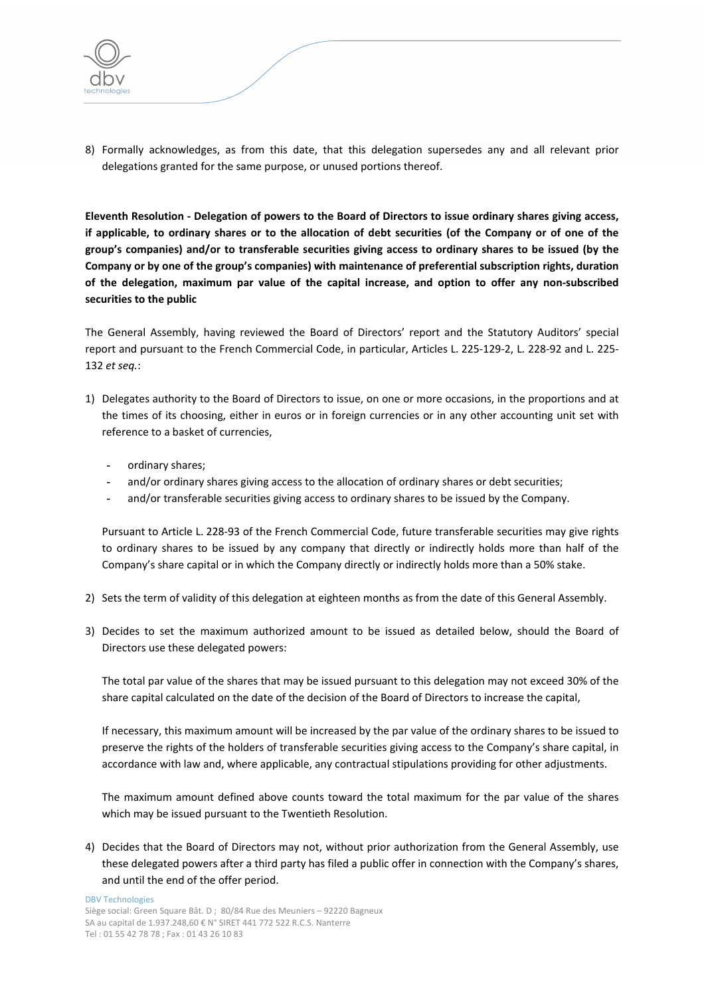

8) Formally acknowledges, as from this date, that this delegation supersedes any and all relevant prior delegations granted for the same purpose, or unused portions thereof.

Eleventh Resolution - Delegation of powers to the Board of Directors to issue ordinary shares giving access, if applicable, to ordinary shares or to the allocation of debt securities (of the Company or of one of the **group's companies) and/or to transferable securities giving access to ordinary shares to be issued (by the Company or by one of the group's companies) with maintenance of preferential subscription rights, duration** of the delegation, maximum par value of the capital increase, and option to offer any non-subscribed **securities to the public**

The General Assembly, having reviewed the Board of Directors' report and the Statutory Auditors' special report and pursuant to the French Commercial Code, in particular, Articles L. 225‐129‐2, L. 228‐92 and L. 225‐ 132 *et seq.*:

- 1) Delegates authority to the Board of Directors to issue, on one or more occasions, in the proportions and at the times of its choosing, either in euros or in foreign currencies or in any other accounting unit set with reference to a basket of currencies,
	- **-** ordinary shares;
	- **-** and/or ordinary shares giving access to the allocation of ordinary shares or debt securities;
	- **-** and/or transferable securities giving access to ordinary shares to be issued by the Company.

Pursuant to Article L. 228‐93 of the French Commercial Code, future transferable securities may give rights to ordinary shares to be issued by any company that directly or indirectly holds more than half of the Company's share capital or in which the Company directly or indirectly holds more than a 50% stake.

- 2) Sets the term of validity of this delegation at eighteen months as from the date of this General Assembly.
- 3) Decides to set the maximum authorized amount to be issued as detailed below, should the Board of Directors use these delegated powers:

The total par value of the shares that may be issued pursuant to this delegation may not exceed 30% of the share capital calculated on the date of the decision of the Board of Directors to increase the capital,

If necessary, this maximum amount will be increased by the par value of the ordinary shares to be issued to preserve the rights of the holders of transferable securities giving access to the Company's share capital, in accordance with law and, where applicable, any contractual stipulations providing for other adjustments.

The maximum amount defined above counts toward the total maximum for the par value of the shares which may be issued pursuant to the Twentieth Resolution.

4) Decides that the Board of Directors may not, without prior authorization from the General Assembly, use these delegated powers after a third party has filed a public offer in connection with the Company's shares, and until the end of the offer period.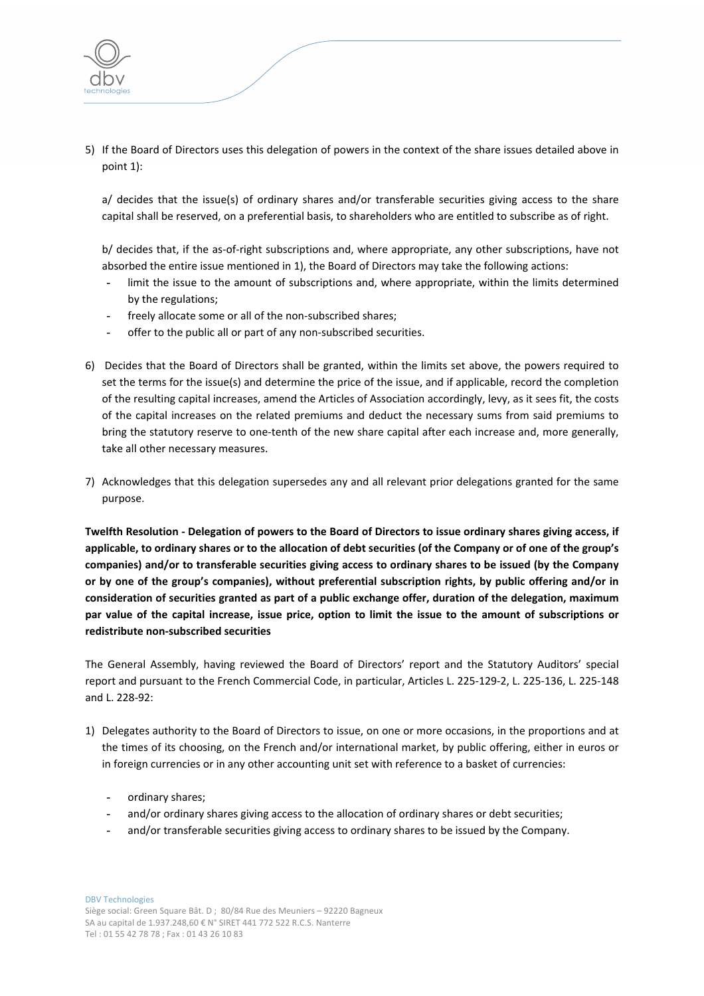

5) If the Board of Directors uses this delegation of powers in the context of the share issues detailed above in point 1):

a/ decides that the issue(s) of ordinary shares and/or transferable securities giving access to the share capital shall be reserved, on a preferential basis, to shareholders who are entitled to subscribe as of right.

b/ decides that, if the as-of-right subscriptions and, where appropriate, any other subscriptions, have not absorbed the entire issue mentioned in 1), the Board of Directors may take the following actions:

- **-** limit the issue to the amount of subscriptions and, where appropriate, within the limits determined by the regulations;
- **-** freely allocate some or all of the non‐subscribed shares;
- **-** offer to the public all or part of any non‐subscribed securities.
- 6) Decides that the Board of Directors shall be granted, within the limits set above, the powers required to set the terms for the issue(s) and determine the price of the issue, and if applicable, record the completion of the resulting capital increases, amend the Articles of Association accordingly, levy, as it sees fit, the costs of the capital increases on the related premiums and deduct the necessary sums from said premiums to bring the statutory reserve to one‐tenth of the new share capital after each increase and, more generally, take all other necessary measures.
- 7) Acknowledges that this delegation supersedes any and all relevant prior delegations granted for the same purpose.

Twelfth Resolution - Delegation of powers to the Board of Directors to issue ordinary shares giving access, if applicable, to ordinary shares or to the allocation of debt securities (of the Company or of one of the group's **companies) and/or to transferable securities giving access to ordinary shares to be issued (by the Company or by one of the group's companies), without preferential subscription rights, by public offering and/or in consideration of securities granted as part of a public exchange offer, duration of the delegation, maximum** par value of the capital increase, issue price, option to limit the issue to the amount of subscriptions or **redistribute non‐subscribed securities**

The General Assembly, having reviewed the Board of Directors' report and the Statutory Auditors' special report and pursuant to the French Commercial Code, in particular, Articles L. 225‐129‐2, L. 225‐136, L. 225‐148 and L. 228‐92:

- 1) Delegates authority to the Board of Directors to issue, on one or more occasions, in the proportions and at the times of its choosing, on the French and/or international market, by public offering, either in euros or in foreign currencies or in any other accounting unit set with reference to a basket of currencies:
	- **-** ordinary shares;
	- **-** and/or ordinary shares giving access to the allocation of ordinary shares or debt securities;
	- **-** and/or transferable securities giving access to ordinary shares to be issued by the Company.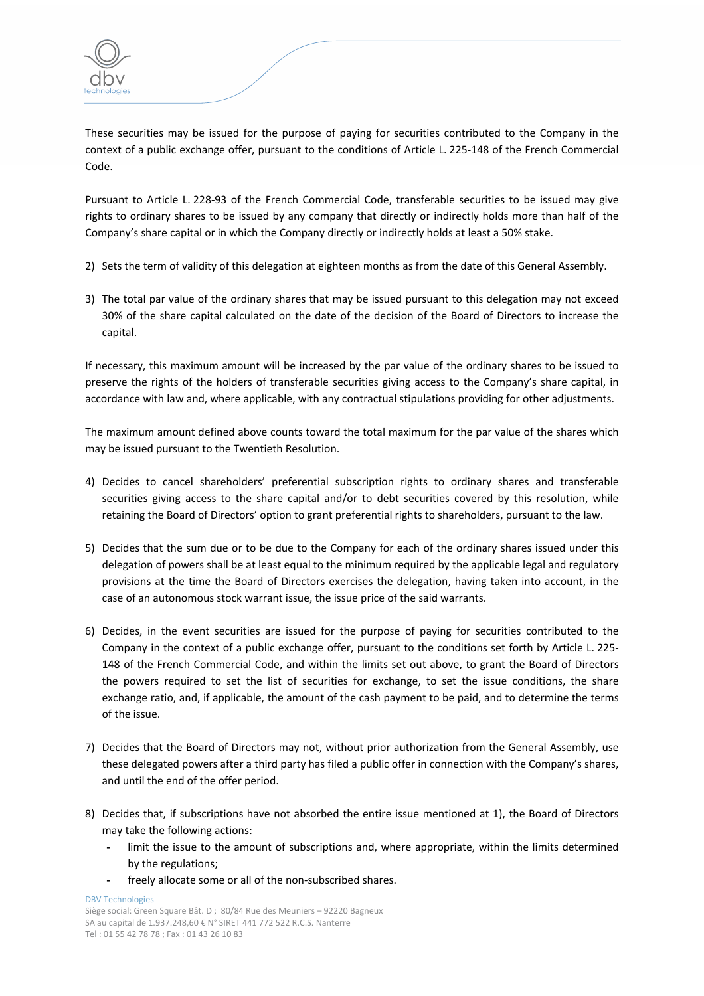These securities may be issued for the purpose of paying for securities contributed to the Company in the context of a public exchange offer, pursuant to the conditions of Article L. 225‐148 of the French Commercial Code.

Pursuant to Article L. 228‐93 of the French Commercial Code, transferable securities to be issued may give rights to ordinary shares to be issued by any company that directly or indirectly holds more than half of the Company's share capital or in which the Company directly or indirectly holds at least a 50% stake.

- 2) Sets the term of validity of this delegation at eighteen months as from the date of this General Assembly.
- 3) The total par value of the ordinary shares that may be issued pursuant to this delegation may not exceed 30% of the share capital calculated on the date of the decision of the Board of Directors to increase the capital.

If necessary, this maximum amount will be increased by the par value of the ordinary shares to be issued to preserve the rights of the holders of transferable securities giving access to the Company's share capital, in accordance with law and, where applicable, with any contractual stipulations providing for other adjustments.

The maximum amount defined above counts toward the total maximum for the par value of the shares which may be issued pursuant to the Twentieth Resolution.

- 4) Decides to cancel shareholders' preferential subscription rights to ordinary shares and transferable securities giving access to the share capital and/or to debt securities covered by this resolution, while retaining the Board of Directors' option to grant preferential rights to shareholders, pursuant to the law.
- 5) Decides that the sum due or to be due to the Company for each of the ordinary shares issued under this delegation of powers shall be at least equal to the minimum required by the applicable legal and regulatory provisions at the time the Board of Directors exercises the delegation, having taken into account, in the case of an autonomous stock warrant issue, the issue price of the said warrants.
- 6) Decides, in the event securities are issued for the purpose of paying for securities contributed to the Company in the context of a public exchange offer, pursuant to the conditions set forth by Article L. 225‐ 148 of the French Commercial Code, and within the limits set out above, to grant the Board of Directors the powers required to set the list of securities for exchange, to set the issue conditions, the share exchange ratio, and, if applicable, the amount of the cash payment to be paid, and to determine the terms of the issue.
- 7) Decides that the Board of Directors may not, without prior authorization from the General Assembly, use these delegated powers after a third party has filed a public offer in connection with the Company's shares, and until the end of the offer period.
- 8) Decides that, if subscriptions have not absorbed the entire issue mentioned at 1), the Board of Directors may take the following actions:
	- **-** limit the issue to the amount of subscriptions and, where appropriate, within the limits determined by the regulations;
	- **-** freely allocate some or all of the non‐subscribed shares.

DBV Technologies Siège social: Green Square Bât. D ; 80/84 Rue des Meuniers – 92220 Bagneux SA au capital de 1.937.248,60 € N° SIRET 441 772 522 R.C.S. Nanterre Tel : 01 55 42 78 78 ; Fax : 01 43 26 10 83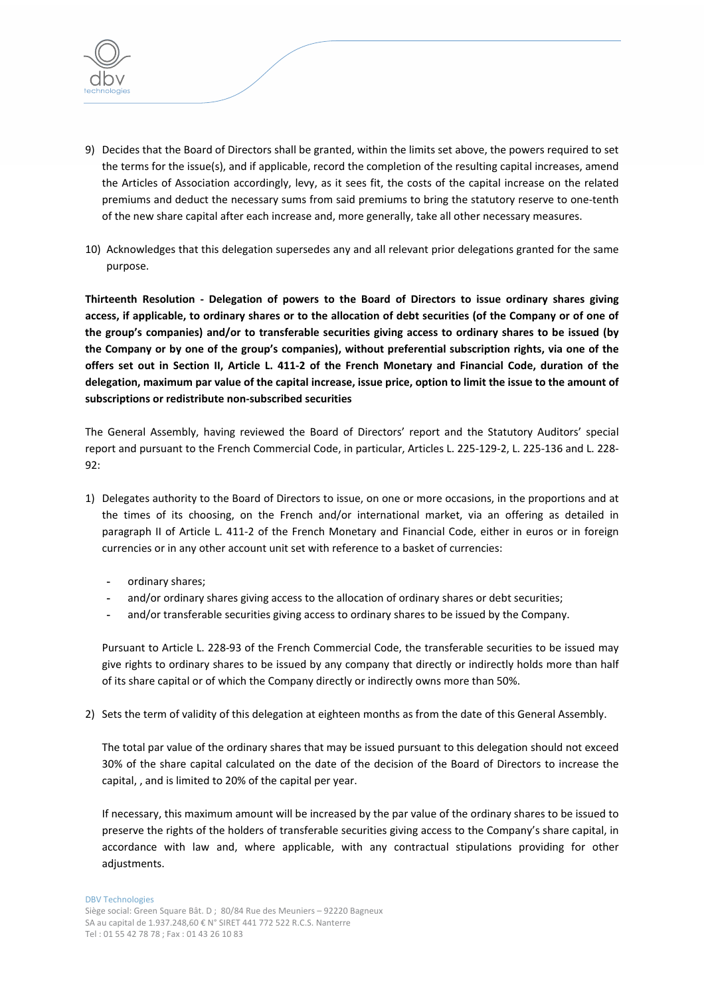

- 9) Decides that the Board of Directors shall be granted, within the limits set above, the powers required to set the terms for the issue(s), and if applicable, record the completion of the resulting capital increases, amend the Articles of Association accordingly, levy, as it sees fit, the costs of the capital increase on the related premiums and deduct the necessary sums from said premiums to bring the statutory reserve to one‐tenth of the new share capital after each increase and, more generally, take all other necessary measures.
- 10) Acknowledges that this delegation supersedes any and all relevant prior delegations granted for the same purpose.

**Thirteenth Resolution ‐ Delegation of powers to the Board of Directors to issue ordinary shares giving** access, if applicable, to ordinary shares or to the allocation of debt securities (of the Company or of one of **the group's companies) and/or to transferable securities giving access to ordinary shares to be issued (by the Company or by one of the group's companies), without preferential subscription rights, via one of the** offers set out in Section II, Article L. 411-2 of the French Monetary and Financial Code, duration of the delegation, maximum par value of the capital increase, issue price, option to limit the issue to the amount of **subscriptions or redistribute non‐subscribed securities**

The General Assembly, having reviewed the Board of Directors' report and the Statutory Auditors' special report and pursuant to the French Commercial Code, in particular, Articles L. 225‐129‐2, L. 225‐136 and L. 228‐ 92:

- 1) Delegates authority to the Board of Directors to issue, on one or more occasions, in the proportions and at the times of its choosing, on the French and/or international market, via an offering as detailed in paragraph II of Article L. 411‐2 of the French Monetary and Financial Code, either in euros or in foreign currencies or in any other account unit set with reference to a basket of currencies:
	- **-** ordinary shares;
	- **-** and/or ordinary shares giving access to the allocation of ordinary shares or debt securities;
	- **-** and/or transferable securities giving access to ordinary shares to be issued by the Company.

Pursuant to Article L. 228‐93 of the French Commercial Code, the transferable securities to be issued may give rights to ordinary shares to be issued by any company that directly or indirectly holds more than half of its share capital or of which the Company directly or indirectly owns more than 50%.

2) Sets the term of validity of this delegation at eighteen months as from the date of this General Assembly.

The total par value of the ordinary shares that may be issued pursuant to this delegation should not exceed 30% of the share capital calculated on the date of the decision of the Board of Directors to increase the capital, , and is limited to 20% of the capital per year.

If necessary, this maximum amount will be increased by the par value of the ordinary shares to be issued to preserve the rights of the holders of transferable securities giving access to the Company's share capital, in accordance with law and, where applicable, with any contractual stipulations providing for other adjustments.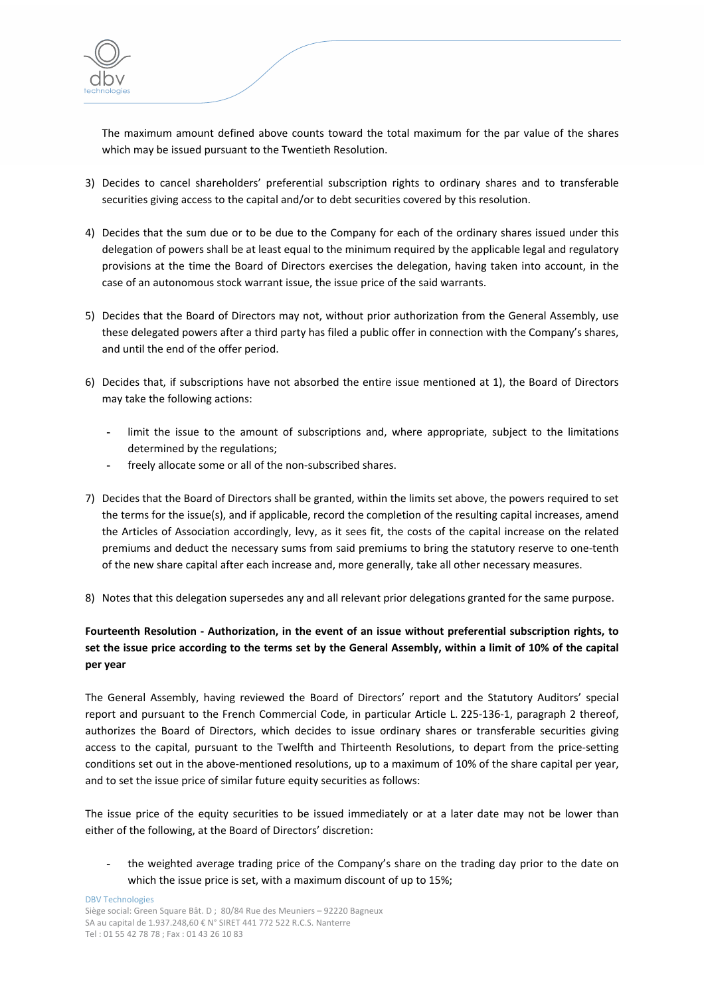

The maximum amount defined above counts toward the total maximum for the par value of the shares which may be issued pursuant to the Twentieth Resolution.

- 3) Decides to cancel shareholders' preferential subscription rights to ordinary shares and to transferable securities giving access to the capital and/or to debt securities covered by this resolution.
- 4) Decides that the sum due or to be due to the Company for each of the ordinary shares issued under this delegation of powers shall be at least equal to the minimum required by the applicable legal and regulatory provisions at the time the Board of Directors exercises the delegation, having taken into account, in the case of an autonomous stock warrant issue, the issue price of the said warrants.
- 5) Decides that the Board of Directors may not, without prior authorization from the General Assembly, use these delegated powers after a third party has filed a public offer in connection with the Company's shares, and until the end of the offer period.
- 6) Decides that, if subscriptions have not absorbed the entire issue mentioned at 1), the Board of Directors may take the following actions:
	- **-** limit the issue to the amount of subscriptions and, where appropriate, subject to the limitations determined by the regulations;
	- **-** freely allocate some or all of the non‐subscribed shares.
- 7) Decides that the Board of Directors shall be granted, within the limits set above, the powers required to set the terms for the issue(s), and if applicable, record the completion of the resulting capital increases, amend the Articles of Association accordingly, levy, as it sees fit, the costs of the capital increase on the related premiums and deduct the necessary sums from said premiums to bring the statutory reserve to one‐tenth of the new share capital after each increase and, more generally, take all other necessary measures.
- 8) Notes that this delegation supersedes any and all relevant prior delegations granted for the same purpose.

# **Fourteenth Resolution ‐ Authorization, in the event of an issue without preferential subscription rights, to** set the issue price according to the terms set by the General Assembly, within a limit of 10% of the capital **per year**

The General Assembly, having reviewed the Board of Directors' report and the Statutory Auditors' special report and pursuant to the French Commercial Code, in particular Article L. 225‐136‐1, paragraph 2 thereof, authorizes the Board of Directors, which decides to issue ordinary shares or transferable securities giving access to the capital, pursuant to the Twelfth and Thirteenth Resolutions, to depart from the price‐setting conditions set out in the above-mentioned resolutions, up to a maximum of 10% of the share capital per year, and to set the issue price of similar future equity securities as follows:

The issue price of the equity securities to be issued immediately or at a later date may not be lower than either of the following, at the Board of Directors' discretion:

**-** the weighted average trading price of the Company's share on the trading day prior to the date on which the issue price is set, with a maximum discount of up to 15%;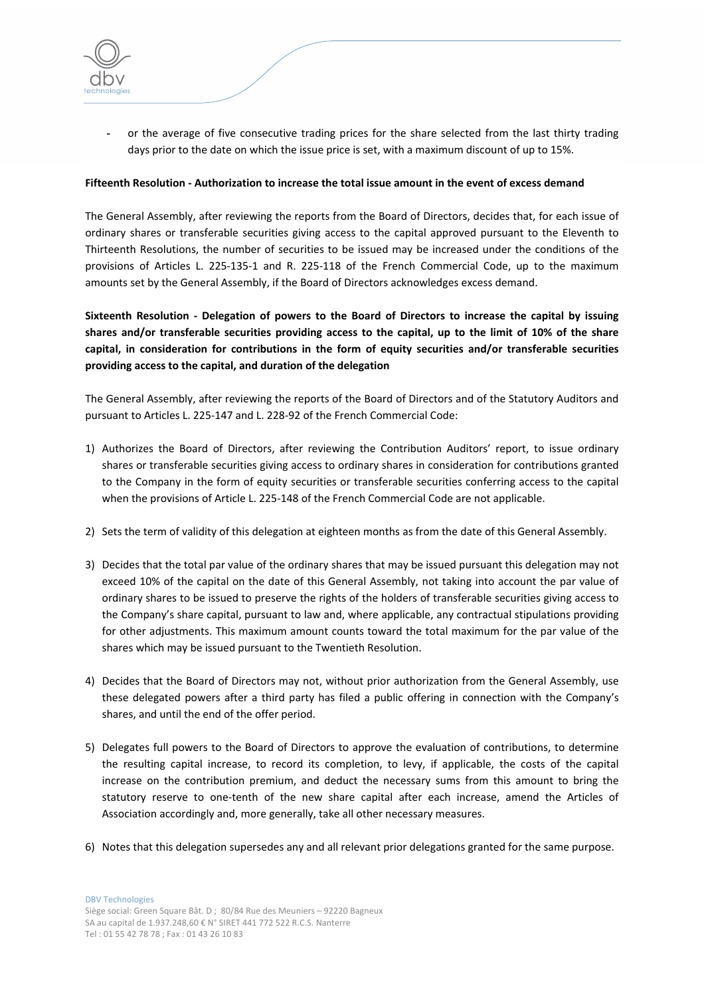**-** or the average of five consecutive trading prices for the share selected from the last thirty trading days prior to the date on which the issue price is set, with a maximum discount of up to 15%.

### **Fifteenth Resolution ‐ Authorization to increase the total issue amount in the event of excess demand**

The General Assembly, after reviewing the reports from the Board of Directors, decides that, for each issue of ordinary shares or transferable securities giving access to the capital approved pursuant to the Eleventh to Thirteenth Resolutions, the number of securities to be issued may be increased under the conditions of the provisions of Articles L. 225‐135‐1 and R. 225‐118 of the French Commercial Code, up to the maximum amounts set by the General Assembly, if the Board of Directors acknowledges excess demand.

**Sixteenth Resolution ‐ Delegation of powers to the Board of Directors to increase the capital by issuing** shares and/or transferable securities providing access to the capital, up to the limit of 10% of the share **capital, in consideration for contributions in the form of equity securities and/or transferable securities providing access to the capital, and duration of the delegation**

The General Assembly, after reviewing the reports of the Board of Directors and of the Statutory Auditors and pursuant to Articles L. 225‐147 and L. 228‐92 of the French Commercial Code:

- 1) Authorizes the Board of Directors, after reviewing the Contribution Auditors' report, to issue ordinary shares or transferable securities giving access to ordinary shares in consideration for contributions granted to the Company in the form of equity securities or transferable securities conferring access to the capital when the provisions of Article L. 225-148 of the French Commercial Code are not applicable.
- 2) Sets the term of validity of this delegation at eighteen months as from the date of this General Assembly.
- 3) Decides that the total par value of the ordinary shares that may be issued pursuant this delegation may not exceed 10% of the capital on the date of this General Assembly, not taking into account the par value of ordinary shares to be issued to preserve the rights of the holders of transferable securities giving access to the Company's share capital, pursuant to law and, where applicable, any contractual stipulations providing for other adjustments. This maximum amount counts toward the total maximum for the par value of the shares which may be issued pursuant to the Twentieth Resolution.
- 4) Decides that the Board of Directors may not, without prior authorization from the General Assembly, use these delegated powers after a third party has filed a public offering in connection with the Company's shares, and until the end of the offer period.
- 5) Delegates full powers to the Board of Directors to approve the evaluation of contributions, to determine the resulting capital increase, to record its completion, to levy, if applicable, the costs of the capital increase on the contribution premium, and deduct the necessary sums from this amount to bring the statutory reserve to one-tenth of the new share capital after each increase, amend the Articles of Association accordingly and, more generally, take all other necessary measures.
- 6) Notes that this delegation supersedes any and all relevant prior delegations granted for the same purpose.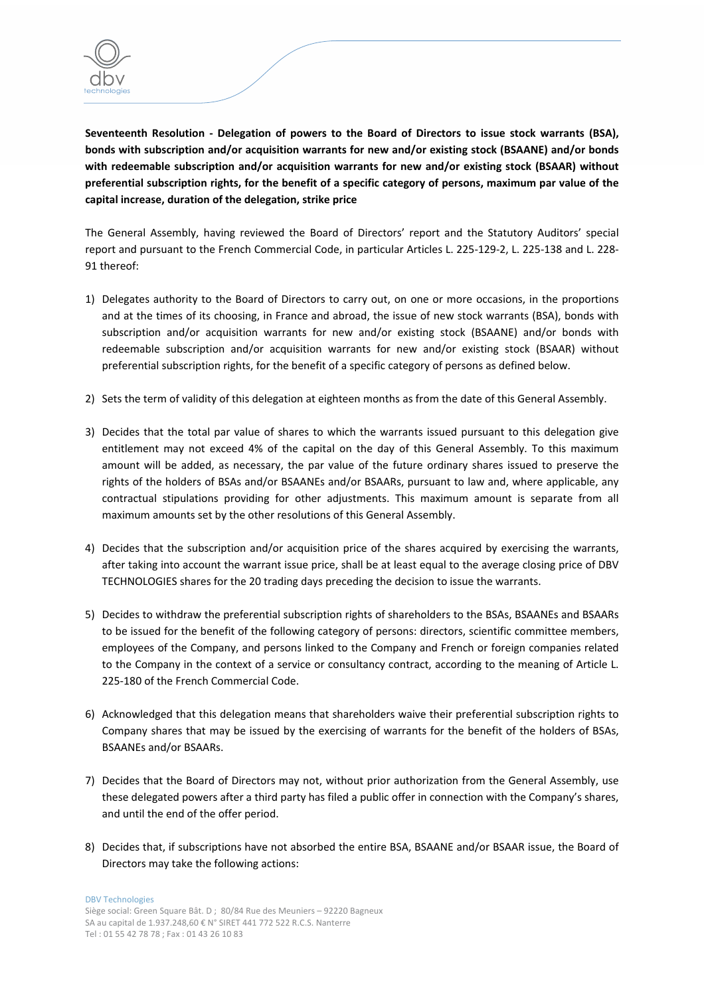

**Seventeenth Resolution ‐ Delegation of powers to the Board of Directors to issue stock warrants (BSA), bonds with subscription and/or acquisition warrants for new and/or existing stock (BSAANE) and/or bonds with redeemable subscription and/or acquisition warrants for new and/or existing stock (BSAAR) without** preferential subscription rights, for the benefit of a specific category of persons, maximum par value of the **capital increase, duration of the delegation, strike price**

The General Assembly, having reviewed the Board of Directors' report and the Statutory Auditors' special report and pursuant to the French Commercial Code, in particular Articles L. 225‐129‐2, L. 225‐138 and L. 228‐ 91 thereof:

- 1) Delegates authority to the Board of Directors to carry out, on one or more occasions, in the proportions and at the times of its choosing, in France and abroad, the issue of new stock warrants (BSA), bonds with subscription and/or acquisition warrants for new and/or existing stock (BSAANE) and/or bonds with redeemable subscription and/or acquisition warrants for new and/or existing stock (BSAAR) without preferential subscription rights, for the benefit of a specific category of persons as defined below.
- 2) Sets the term of validity of this delegation at eighteen months as from the date of this General Assembly.
- 3) Decides that the total par value of shares to which the warrants issued pursuant to this delegation give entitlement may not exceed 4% of the capital on the day of this General Assembly. To this maximum amount will be added, as necessary, the par value of the future ordinary shares issued to preserve the rights of the holders of BSAs and/or BSAANEs and/or BSAARs, pursuant to law and, where applicable, any contractual stipulations providing for other adjustments. This maximum amount is separate from all maximum amounts set by the other resolutions of this General Assembly.
- 4) Decides that the subscription and/or acquisition price of the shares acquired by exercising the warrants, after taking into account the warrant issue price, shall be at least equal to the average closing price of DBV TECHNOLOGIES shares for the 20 trading days preceding the decision to issue the warrants.
- 5) Decides to withdraw the preferential subscription rights of shareholders to the BSAs, BSAANEs and BSAARs to be issued for the benefit of the following category of persons: directors, scientific committee members, employees of the Company, and persons linked to the Company and French or foreign companies related to the Company in the context of a service or consultancy contract, according to the meaning of Article L. 225‐180 of the French Commercial Code.
- 6) Acknowledged that this delegation means that shareholders waive their preferential subscription rights to Company shares that may be issued by the exercising of warrants for the benefit of the holders of BSAs, BSAANEs and/or BSAARs.
- 7) Decides that the Board of Directors may not, without prior authorization from the General Assembly, use these delegated powers after a third party has filed a public offer in connection with the Company's shares, and until the end of the offer period.
- 8) Decides that, if subscriptions have not absorbed the entire BSA, BSAANE and/or BSAAR issue, the Board of Directors may take the following actions: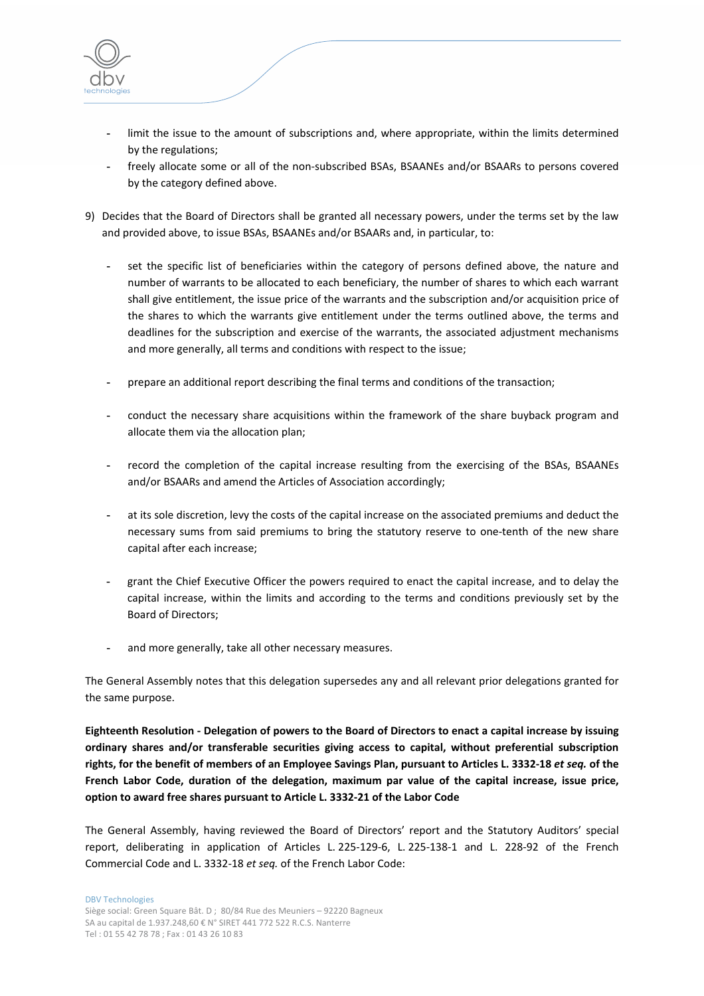

- **-** limit the issue to the amount of subscriptions and, where appropriate, within the limits determined by the regulations;
- **-** freely allocate some or all of the non‐subscribed BSAs, BSAANEs and/or BSAARs to persons covered by the category defined above.
- 9) Decides that the Board of Directors shall be granted all necessary powers, under the terms set by the law and provided above, to issue BSAs, BSAANEs and/or BSAARs and, in particular, to:
	- **-** set the specific list of beneficiaries within the category of persons defined above, the nature and number of warrants to be allocated to each beneficiary, the number of shares to which each warrant shall give entitlement, the issue price of the warrants and the subscription and/or acquisition price of the shares to which the warrants give entitlement under the terms outlined above, the terms and deadlines for the subscription and exercise of the warrants, the associated adjustment mechanisms and more generally, all terms and conditions with respect to the issue;
	- **-** prepare an additional report describing the final terms and conditions of the transaction;
	- **-** conduct the necessary share acquisitions within the framework of the share buyback program and allocate them via the allocation plan;
	- **-** record the completion of the capital increase resulting from the exercising of the BSAs, BSAANEs and/or BSAARs and amend the Articles of Association accordingly;
	- **-** at its sole discretion, levy the costs of the capital increase on the associated premiums and deduct the necessary sums from said premiums to bring the statutory reserve to one-tenth of the new share capital after each increase;
	- **-** grant the Chief Executive Officer the powers required to enact the capital increase, and to delay the capital increase, within the limits and according to the terms and conditions previously set by the Board of Directors;
	- **-** and more generally, take all other necessary measures.

The General Assembly notes that this delegation supersedes any and all relevant prior delegations granted for the same purpose.

Eighteenth Resolution - Delegation of powers to the Board of Directors to enact a capital increase by issuing **ordinary shares and/or transferable securities giving access to capital, without preferential subscription** rights, for the benefit of members of an Employee Savings Plan, pursuant to Articles L. 3332-18 et seq. of the **French Labor Code, duration of the delegation, maximum par value of the capital increase, issue price, option to award free shares pursuant to Article L. 3332‐21 of the Labor Code**

The General Assembly, having reviewed the Board of Directors' report and the Statutory Auditors' special report, deliberating in application of Articles L. 225‐129‐6, L. 225‐138‐1 and L. 228‐92 of the French Commercial Code and L. 3332‐18 *et seq.* of the French Labor Code: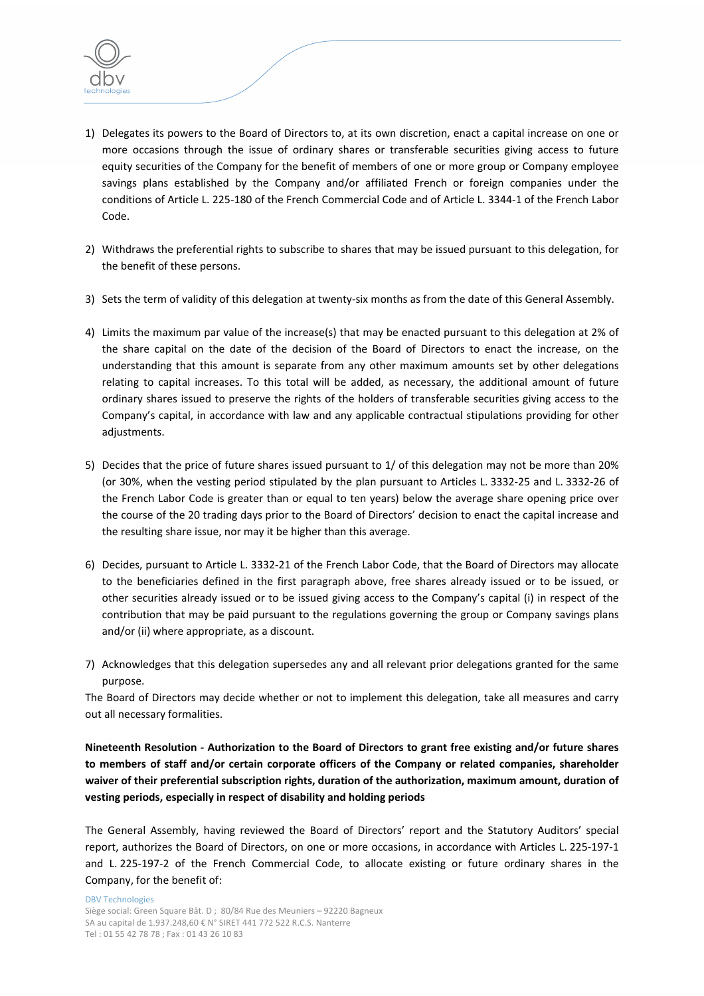

- 1) Delegates its powers to the Board of Directors to, at its own discretion, enact a capital increase on one or more occasions through the issue of ordinary shares or transferable securities giving access to future equity securities of the Company for the benefit of members of one or more group or Company employee savings plans established by the Company and/or affiliated French or foreign companies under the conditions of Article L. 225‐180 of the French Commercial Code and of Article L. 3344‐1 of the French Labor Code.
- 2) Withdraws the preferential rights to subscribe to shares that may be issued pursuant to this delegation, for the benefit of these persons.
- 3) Sets the term of validity of this delegation at twenty‐six months as from the date of this General Assembly.
- 4) Limits the maximum par value of the increase(s) that may be enacted pursuant to this delegation at 2% of the share capital on the date of the decision of the Board of Directors to enact the increase, on the understanding that this amount is separate from any other maximum amounts set by other delegations relating to capital increases. To this total will be added, as necessary, the additional amount of future ordinary shares issued to preserve the rights of the holders of transferable securities giving access to the Company's capital, in accordance with law and any applicable contractual stipulations providing for other adjustments.
- 5) Decides that the price of future shares issued pursuant to 1/ of this delegation may not be more than 20% (or 30%, when the vesting period stipulated by the plan pursuant to Articles L. 3332‐25 and L. 3332‐26 of the French Labor Code is greater than or equal to ten years) below the average share opening price over the course of the 20 trading days prior to the Board of Directors' decision to enact the capital increase and the resulting share issue, nor may it be higher than this average.
- 6) Decides, pursuant to Article L. 3332‐21 of the French Labor Code, that the Board of Directors may allocate to the beneficiaries defined in the first paragraph above, free shares already issued or to be issued, or other securities already issued or to be issued giving access to the Company's capital (i) in respect of the contribution that may be paid pursuant to the regulations governing the group or Company savings plans and/or (ii) where appropriate, as a discount.
- 7) Acknowledges that this delegation supersedes any and all relevant prior delegations granted for the same purpose.

The Board of Directors may decide whether or not to implement this delegation, take all measures and carry out all necessary formalities.

**Nineteenth Resolution ‐ Authorization to the Board of Directors to grant free existing and/or future shares to members of staff and/or certain corporate officers of the Company or related companies, shareholder waiver of their preferential subscription rights, duration of the authorization, maximum amount, duration of vesting periods, especially in respect of disability and holding periods**

The General Assembly, having reviewed the Board of Directors' report and the Statutory Auditors' special report, authorizes the Board of Directors, on one or more occasions, in accordance with Articles L. 225‐197‐1 and L. 225-197-2 of the French Commercial Code, to allocate existing or future ordinary shares in the Company, for the benefit of: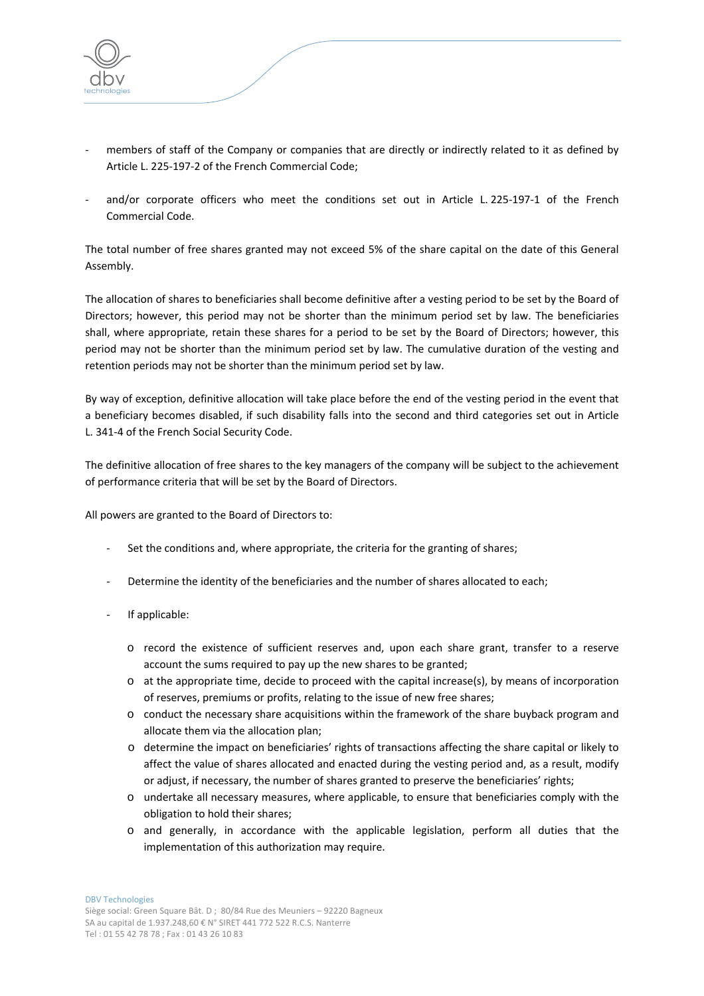

- members of staff of the Company or companies that are directly or indirectly related to it as defined by Article L. 225‐197‐2 of the French Commercial Code;
- and/or corporate officers who meet the conditions set out in Article L. 225-197-1 of the French Commercial Code.

The total number of free shares granted may not exceed 5% of the share capital on the date of this General Assembly.

The allocation of shares to beneficiaries shall become definitive after a vesting period to be set by the Board of Directors; however, this period may not be shorter than the minimum period set by law. The beneficiaries shall, where appropriate, retain these shares for a period to be set by the Board of Directors; however, this period may not be shorter than the minimum period set by law. The cumulative duration of the vesting and retention periods may not be shorter than the minimum period set by law.

By way of exception, definitive allocation will take place before the end of the vesting period in the event that a beneficiary becomes disabled, if such disability falls into the second and third categories set out in Article L. 341‐4 of the French Social Security Code.

The definitive allocation of free shares to the key managers of the company will be subject to the achievement of performance criteria that will be set by the Board of Directors.

All powers are granted to the Board of Directors to:

- ‐ Set the conditions and, where appropriate, the criteria for the granting of shares;
- Determine the identity of the beneficiaries and the number of shares allocated to each;
- ‐ If applicable:
	- o record the existence of sufficient reserves and, upon each share grant, transfer to a reserve account the sums required to pay up the new shares to be granted;
	- $\circ$  at the appropriate time, decide to proceed with the capital increase(s), by means of incorporation of reserves, premiums or profits, relating to the issue of new free shares;
	- o conduct the necessary share acquisitions within the framework of the share buyback program and allocate them via the allocation plan;
	- o determine the impact on beneficiaries' rights of transactions affecting the share capital or likely to affect the value of shares allocated and enacted during the vesting period and, as a result, modify or adjust, if necessary, the number of shares granted to preserve the beneficiaries' rights;
	- o undertake all necessary measures, where applicable, to ensure that beneficiaries comply with the obligation to hold their shares;
	- o and generally, in accordance with the applicable legislation, perform all duties that the implementation of this authorization may require.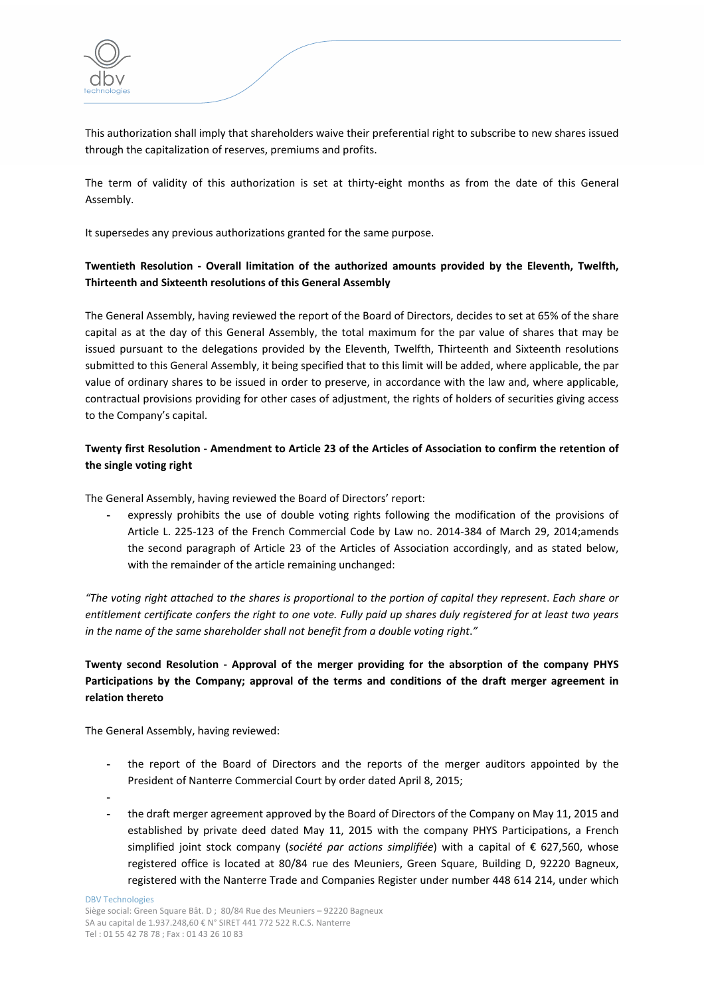

This authorization shall imply that shareholders waive their preferential right to subscribe to new shares issued through the capitalization of reserves, premiums and profits.

The term of validity of this authorization is set at thirty-eight months as from the date of this General Assembly.

It supersedes any previous authorizations granted for the same purpose.

## **Twentieth Resolution ‐ Overall limitation of the authorized amounts provided by the Eleventh, Twelfth, Thirteenth and Sixteenth resolutions of this General Assembly**

The General Assembly, having reviewed the report of the Board of Directors, decides to set at 65% of the share capital as at the day of this General Assembly, the total maximum for the par value of shares that may be issued pursuant to the delegations provided by the Eleventh, Twelfth, Thirteenth and Sixteenth resolutions submitted to this General Assembly, it being specified that to this limit will be added, where applicable, the par value of ordinary shares to be issued in order to preserve, in accordance with the law and, where applicable, contractual provisions providing for other cases of adjustment, the rights of holders of securities giving access to the Company's capital.

## Twenty first Resolution - Amendment to Article 23 of the Articles of Association to confirm the retention of **the single voting right**

The General Assembly, having reviewed the Board of Directors' report:

**-** expressly prohibits the use of double voting rights following the modification of the provisions of Article L. 225‐123 of the French Commercial Code by Law no. 2014‐384 of March 29, 2014;amends the second paragraph of Article 23 of the Articles of Association accordingly, and as stated below, with the remainder of the article remaining unchanged:

"The voting right attached to the shares is proportional to the portion of capital they represent. Each share or entitlement certificate confers the right to one vote. Fully paid up shares duly registered for at least two years *in the name of the same shareholder shall not benefit from a double voting right*.*"*

# **Twenty second Resolution ‐ Approval of the merger providing for the absorption of the company PHYS Participations by the Company; approval of the terms and conditions of the draft merger agreement in relation thereto**

The General Assembly, having reviewed:

- **-** the report of the Board of Directors and the reports of the merger auditors appointed by the President of Nanterre Commercial Court by order dated April 8, 2015;
- **-**
- **-** the draft merger agreement approved by the Board of Directors of the Company on May 11, 2015 and established by private deed dated May 11, 2015 with the company PHYS Participations, a French simplified joint stock company (*société par actions simplifiée*) with a capital of € 627,560, whose registered office is located at 80/84 rue des Meuniers, Green Square, Building D, 92220 Bagneux, registered with the Nanterre Trade and Companies Register under number 448 614 214, under which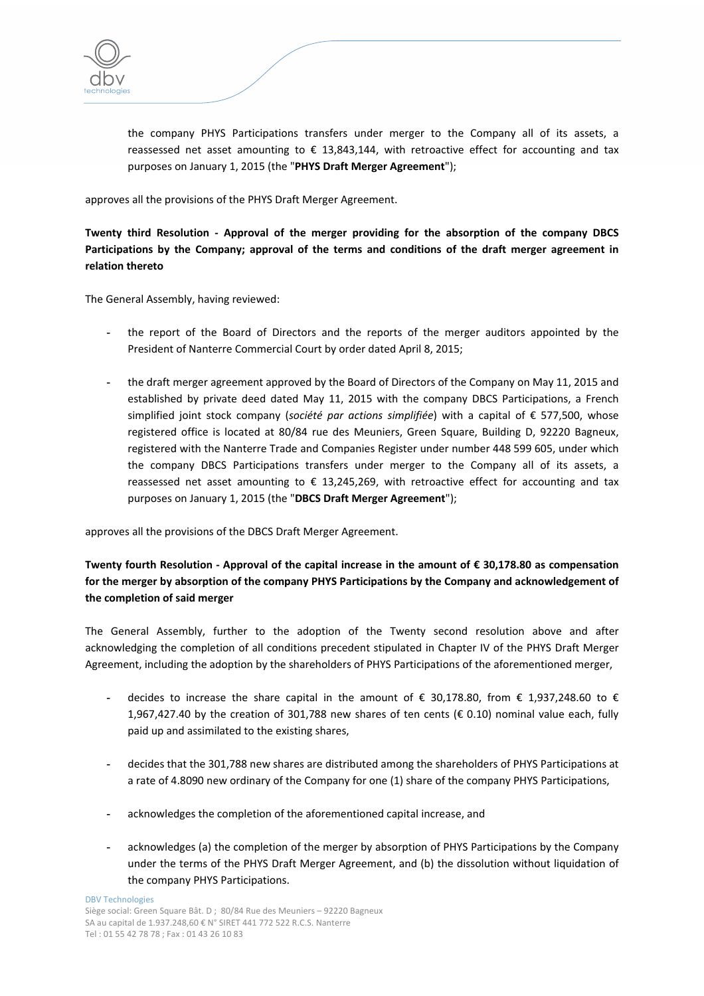

the company PHYS Participations transfers under merger to the Company all of its assets, a reassessed net asset amounting to  $\epsilon$  13,843,144, with retroactive effect for accounting and tax purposes on January 1, 2015 (the "**PHYS Draft Merger Agreement**");

approves all the provisions of the PHYS Draft Merger Agreement.

**Twenty third Resolution ‐ Approval of the merger providing for the absorption of the company DBCS Participations by the Company; approval of the terms and conditions of the draft merger agreement in relation thereto**

The General Assembly, having reviewed:

- **-** the report of the Board of Directors and the reports of the merger auditors appointed by the President of Nanterre Commercial Court by order dated April 8, 2015;
- **-** the draft merger agreement approved by the Board of Directors of the Company on May 11, 2015 and established by private deed dated May 11, 2015 with the company DBCS Participations, a French simplified joint stock company (*société par actions simplifiée*) with a capital of € 577,500, whose registered office is located at 80/84 rue des Meuniers, Green Square, Building D, 92220 Bagneux, registered with the Nanterre Trade and Companies Register under number 448 599 605, under which the company DBCS Participations transfers under merger to the Company all of its assets, a reassessed net asset amounting to  $\epsilon$  13,245,269, with retroactive effect for accounting and tax purposes on January 1, 2015 (the "**DBCS Draft Merger Agreement**");

approves all the provisions of the DBCS Draft Merger Agreement.

# **Twenty fourth Resolution ‐ Approval of the capital increase in the amount of € 30,178.80 as compensation for the merger by absorption of the company PHYS Participations by the Company and acknowledgement of the completion of said merger**

The General Assembly, further to the adoption of the Twenty second resolution above and after acknowledging the completion of all conditions precedent stipulated in Chapter IV of the PHYS Draft Merger Agreement, including the adoption by the shareholders of PHYS Participations of the aforementioned merger,

- **-** decides to increase the share capital in the amount of € 30,178.80, from € 1,937,248.60 to € 1,967,427.40 by the creation of 301,788 new shares of ten cents ( $\epsilon$  0.10) nominal value each, fully paid up and assimilated to the existing shares,
- **-** decides that the 301,788 new shares are distributed among the shareholders of PHYS Participations at a rate of 4.8090 new ordinary of the Company for one (1) share of the company PHYS Participations,
- **-** acknowledges the completion of the aforementioned capital increase, and
- **-** acknowledges (a) the completion of the merger by absorption of PHYS Participations by the Company under the terms of the PHYS Draft Merger Agreement, and (b) the dissolution without liquidation of the company PHYS Participations.

DBV Technologies Siège social: Green Square Bât. D ; 80/84 Rue des Meuniers – 92220 Bagneux SA au capital de 1.937.248,60 € N° SIRET 441 772 522 R.C.S. Nanterre Tel : 01 55 42 78 78 ; Fax : 01 43 26 10 83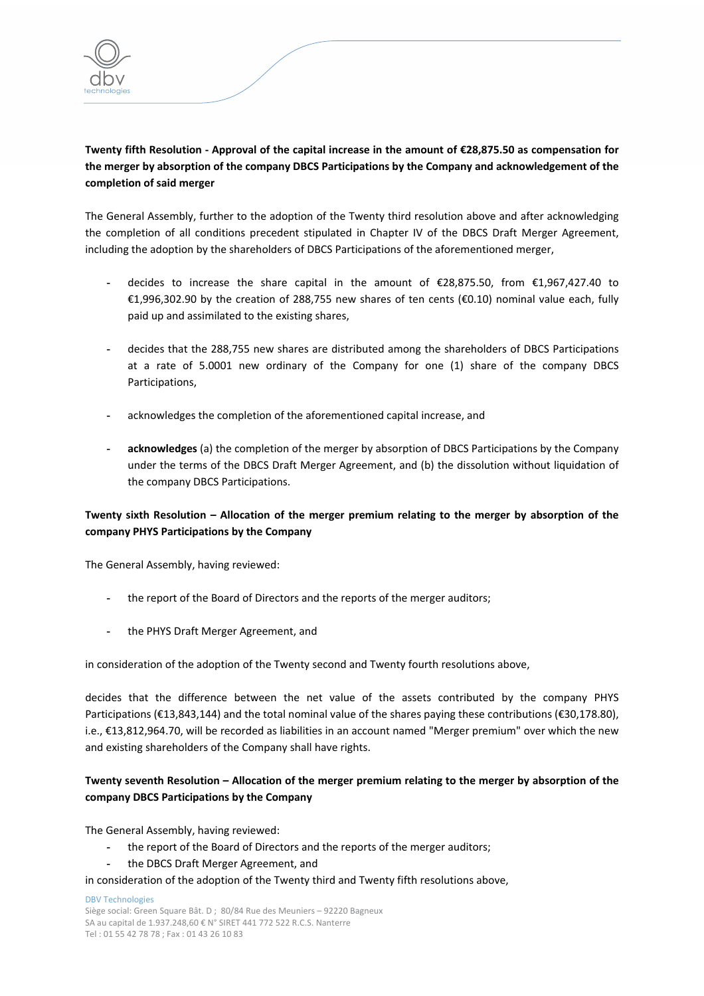

# Twenty fifth Resolution - Approval of the capital increase in the amount of €28,875.50 as compensation for **the merger by absorption of the company DBCS Participations by the Company and acknowledgement of the completion of said merger**

The General Assembly, further to the adoption of the Twenty third resolution above and after acknowledging the completion of all conditions precedent stipulated in Chapter IV of the DBCS Draft Merger Agreement, including the adoption by the shareholders of DBCS Participations of the aforementioned merger,

- **-** decides to increase the share capital in the amount of €28,875.50, from €1,967,427.40 to €1,996,302.90 by the creation of 288,755 new shares of ten cents (€0.10) nominal value each, fully paid up and assimilated to the existing shares,
- **-** decides that the 288,755 new shares are distributed among the shareholders of DBCS Participations at a rate of 5.0001 new ordinary of the Company for one (1) share of the company DBCS Participations,
- **-** acknowledges the completion of the aforementioned capital increase, and
- **- acknowledges** (a) the completion of the merger by absorption of DBCS Participations by the Company under the terms of the DBCS Draft Merger Agreement, and (b) the dissolution without liquidation of the company DBCS Participations.

# **Twenty sixth Resolution – Allocation of the merger premium relating to the merger by absorption of the company PHYS Participations by the Company**

The General Assembly, having reviewed:

- **-** the report of the Board of Directors and the reports of the merger auditors;
- **-** the PHYS Draft Merger Agreement, and

in consideration of the adoption of the Twenty second and Twenty fourth resolutions above,

decides that the difference between the net value of the assets contributed by the company PHYS Participations (€13,843,144) and the total nominal value of the shares paying these contributions (€30,178.80), i.e., €13,812,964.70, will be recorded as liabilities in an account named "Merger premium" over which the new and existing shareholders of the Company shall have rights.

## **Twenty seventh Resolution – Allocation of the merger premium relating to the merger by absorption of the company DBCS Participations by the Company**

The General Assembly, having reviewed:

- **-** the report of the Board of Directors and the reports of the merger auditors;
- **-** the DBCS Draft Merger Agreement, and

in consideration of the adoption of the Twenty third and Twenty fifth resolutions above,

DBV Technologies Siège social: Green Square Bât. D ; 80/84 Rue des Meuniers – 92220 Bagneux SA au capital de 1.937.248,60 € N° SIRET 441 772 522 R.C.S. Nanterre Tel : 01 55 42 78 78 ; Fax : 01 43 26 10 83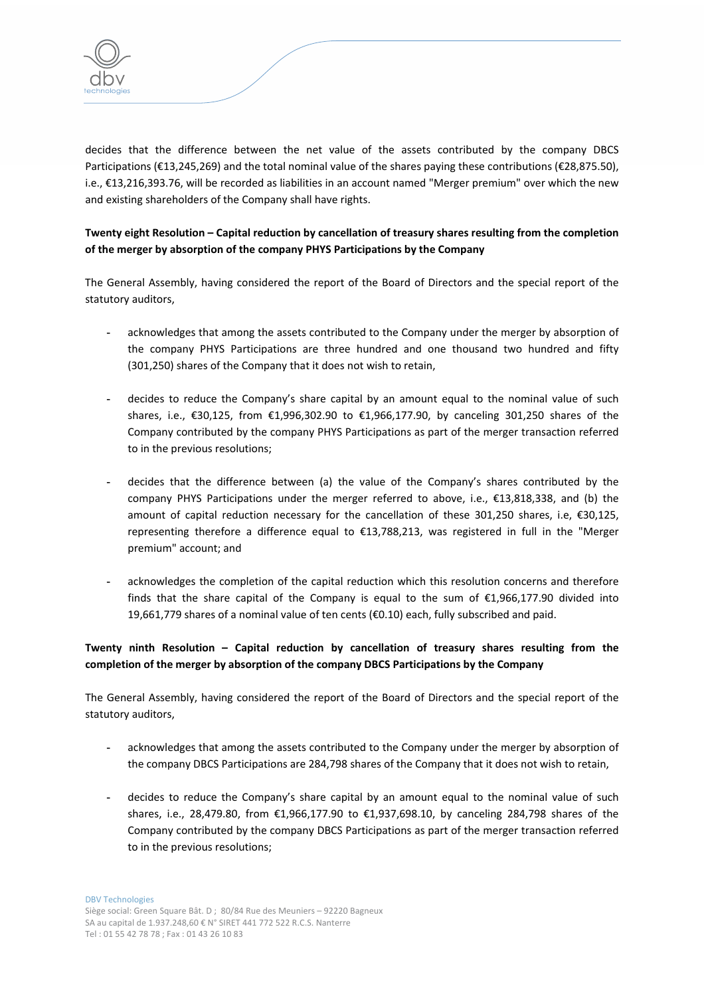

decides that the difference between the net value of the assets contributed by the company DBCS Participations (€13,245,269) and the total nominal value of the shares paying these contributions (€28,875.50), i.e., €13,216,393.76, will be recorded as liabilities in an account named "Merger premium" over which the new and existing shareholders of the Company shall have rights.

# **Twenty eight Resolution – Capital reduction by cancellation of treasury shares resulting from the completion of the merger by absorption of the company PHYS Participations by the Company**

The General Assembly, having considered the report of the Board of Directors and the special report of the statutory auditors,

- **-** acknowledges that among the assets contributed to the Company under the merger by absorption of the company PHYS Participations are three hundred and one thousand two hundred and fifty (301,250) shares of the Company that it does not wish to retain,
- **-** decides to reduce the Company's share capital by an amount equal to the nominal value of such shares, i.e., €30,125, from €1,996,302.90 to €1,966,177.90, by canceling 301,250 shares of the Company contributed by the company PHYS Participations as part of the merger transaction referred to in the previous resolutions;
- **-** decides that the difference between (a) the value of the Company's shares contributed by the company PHYS Participations under the merger referred to above, i.e., €13,818,338, and (b) the amount of capital reduction necessary for the cancellation of these 301,250 shares, i.e, €30,125, representing therefore a difference equal to €13,788,213, was registered in full in the "Merger premium" account; and
- **-** acknowledges the completion of the capital reduction which this resolution concerns and therefore finds that the share capital of the Company is equal to the sum of  $\epsilon$ 1,966,177.90 divided into 19,661,779 shares of a nominal value of ten cents (€0.10) each, fully subscribed and paid.

# **Twenty ninth Resolution – Capital reduction by cancellation of treasury shares resulting from the completion of the merger by absorption of the company DBCS Participations by the Company**

The General Assembly, having considered the report of the Board of Directors and the special report of the statutory auditors,

- **-** acknowledges that among the assets contributed to the Company under the merger by absorption of the company DBCS Participations are 284,798 shares of the Company that it does not wish to retain,
- **-** decides to reduce the Company's share capital by an amount equal to the nominal value of such shares, i.e., 28,479.80, from €1,966,177.90 to €1,937,698.10, by canceling 284,798 shares of the Company contributed by the company DBCS Participations as part of the merger transaction referred to in the previous resolutions;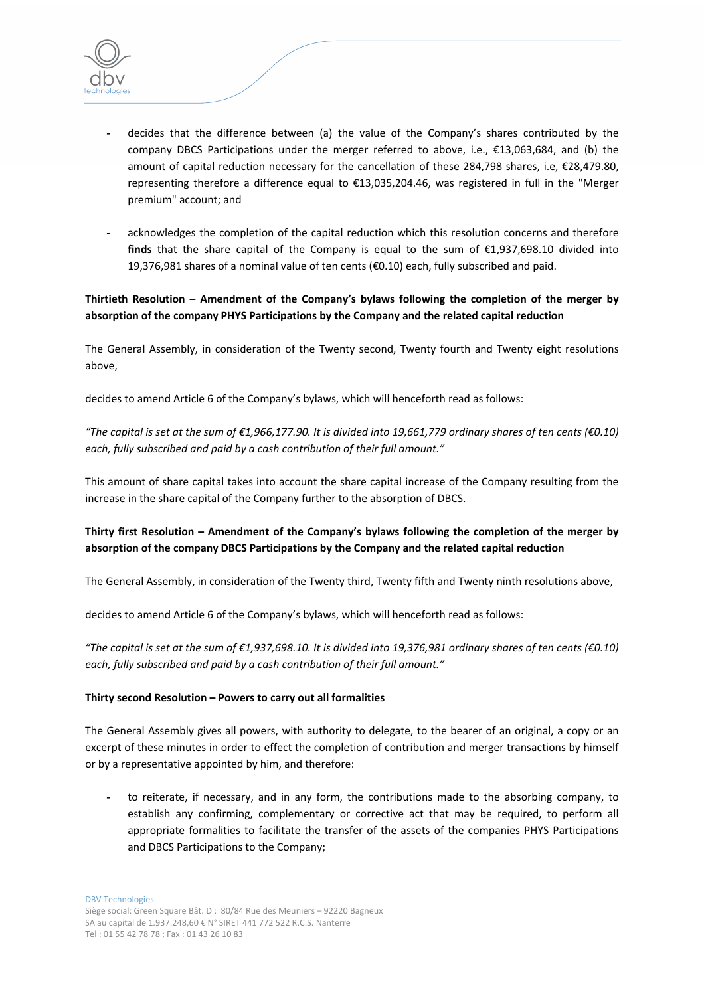

- **-** decides that the difference between (a) the value of the Company's shares contributed by the company DBCS Participations under the merger referred to above, i.e., €13,063,684, and (b) the amount of capital reduction necessary for the cancellation of these 284,798 shares, i.e, €28,479.80, representing therefore a difference equal to €13,035,204.46, was registered in full in the "Merger premium" account; and
- **-** acknowledges the completion of the capital reduction which this resolution concerns and therefore **finds** that the share capital of the Company is equal to the sum of  $\epsilon$ 1,937,698.10 divided into 19,376,981 shares of a nominal value of ten cents (€0.10) each, fully subscribed and paid.

### **Thirtieth Resolution – Amendment of the Company's bylaws following the completion of the merger by absorption of the company PHYS Participations by the Company and the related capital reduction**

The General Assembly, in consideration of the Twenty second, Twenty fourth and Twenty eight resolutions above,

decides to amend Article 6 of the Company's bylaws, which will henceforth read as follows:

"The capital is set at the sum of  $\epsilon$ 1,966,177.90. It is divided into 19,661,779 ordinary shares of ten cents ( $\epsilon$ 0.10) *each, fully subscribed and paid by a cash contribution of their full amount."*

This amount of share capital takes into account the share capital increase of the Company resulting from the increase in the share capital of the Company further to the absorption of DBCS.

## **Thirty first Resolution – Amendment of the Company's bylaws following the completion of the merger by absorption of the company DBCS Participations by the Company and the related capital reduction**

The General Assembly, in consideration of the Twenty third, Twenty fifth and Twenty ninth resolutions above,

decides to amend Article 6 of the Company's bylaws, which will henceforth read as follows:

"The capital is set at the sum of  $\epsilon$ 1,937,698.10. It is divided into 19,376,981 ordinary shares of ten cents ( $\epsilon$ 0.10) *each, fully subscribed and paid by a cash contribution of their full amount."*

### **Thirty second Resolution – Powers to carry out all formalities**

The General Assembly gives all powers, with authority to delegate, to the bearer of an original, a copy or an excerpt of these minutes in order to effect the completion of contribution and merger transactions by himself or by a representative appointed by him, and therefore:

**-** to reiterate, if necessary, and in any form, the contributions made to the absorbing company, to establish any confirming, complementary or corrective act that may be required, to perform all appropriate formalities to facilitate the transfer of the assets of the companies PHYS Participations and DBCS Participations to the Company;

DBV Technologies Siège social: Green Square Bât. D ; 80/84 Rue des Meuniers – 92220 Bagneux SA au capital de 1.937.248,60 € N° SIRET 441 772 522 R.C.S. Nanterre Tel : 01 55 42 78 78 ; Fax : 01 43 26 10 83